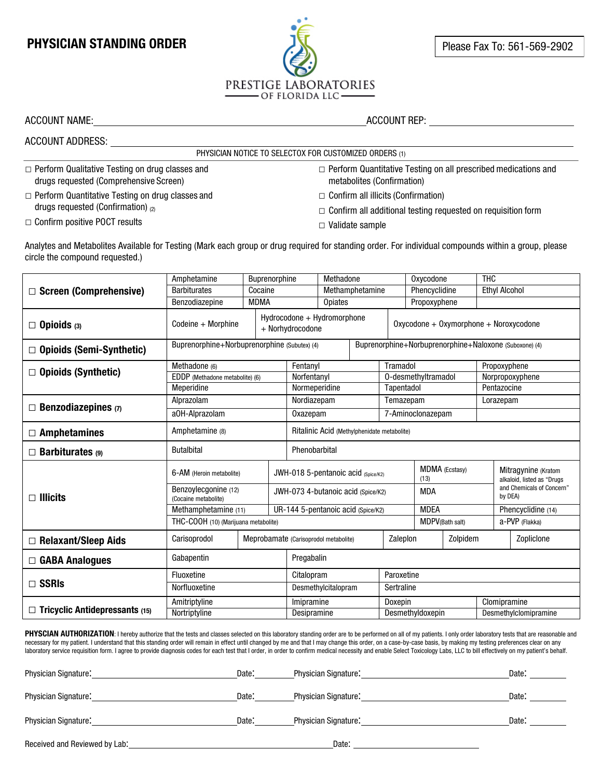## **PHYSICIAN STANDING ORDER PHYSICIAN STANDING ORDER PLANS**

## PRESTIGE LABORATORIES - OF FLORIDA LLC-

PHYSICIAN NOTICE TO SELECTOX FOR CUSTOMIZED ORDERS (1)

ACCOUNT NAME: ACCOUNT REP:

|  |                                                        |  | PHY. |
|--|--------------------------------------------------------|--|------|
|  | $\Box$ Perform Qualitative Testing on drug classes and |  |      |

ACCOUNT ADDRESS:

drugs requested (Comprehensive Screen) **□** Perform Quantitative Testing on drug classes and drugs requested (Confirmation)  $_{(2)}$ 

**□** Confirm positive POCT results

**□** Perform Quantitative Testing on all prescribed medications and metabolites (Confirmation)

- **□** Confirm all illicits (Confirmation)
- **□** Confirm all additional testing requested on requisition form
- **□** Validate sample

Analytes and Metabolites Available for Testing (Mark each group or drug required for standing order. For individual compounds within a group, please circle the compound requested.)

|                                       | Amphetamine                                                |                                                | Buprenorphine                         |                                                                         | Methadone       |                                                        | Oxycodone               |                       | <b>THC</b>                                        |                      |  |
|---------------------------------------|------------------------------------------------------------|------------------------------------------------|---------------------------------------|-------------------------------------------------------------------------|-----------------|--------------------------------------------------------|-------------------------|-----------------------|---------------------------------------------------|----------------------|--|
| $\Box$ Screen (Comprehensive)         | <b>Barbiturates</b>                                        |                                                | Cocaine                               |                                                                         | Methamphetamine |                                                        | Phencyclidine           |                       |                                                   | <b>Ethyl Alcohol</b> |  |
|                                       | Benzodiazepine                                             | <b>MDMA</b>                                    |                                       | Opiates                                                                 |                 |                                                        | Propoxyphene            |                       |                                                   |                      |  |
| $\Box$ Opioids (3)                    | Codeine $+$ Morphine                                       |                                                | + Norhydrocodone                      | Hydrocodone + Hydromorphone<br>$Oxycodone + Oxymorphone + Noroxycodone$ |                 |                                                        |                         |                       |                                                   |                      |  |
| $\Box$ Opioids (Semi-Synthetic)       | Buprenorphine+Norbuprenorphine (Subutex) (4)               |                                                |                                       |                                                                         |                 | Buprenorphine+Norbuprenorphine+Naloxone (Suboxone) (4) |                         |                       |                                                   |                      |  |
|                                       | Methadone (6)<br>Fentanyl                                  |                                                |                                       |                                                                         | Tramadol        |                                                        |                         |                       | Propoxyphene                                      |                      |  |
| $\Box$ Opioids (Synthetic)            |                                                            | EDDP (Methadone metabolite) (6)<br>Norfentanyl |                                       |                                                                         |                 |                                                        | 0-desmethyltramadol     |                       |                                                   | Norpropoxyphene      |  |
|                                       | Meperidine                                                 |                                                |                                       | Normeperidine                                                           | Tapentadol      |                                                        |                         |                       |                                                   | Pentazocine          |  |
| $\Box$ Benzodiazepines (7)            | Alprazolam                                                 | Nordiazepam                                    |                                       |                                                                         |                 | Temazepam                                              |                         |                       |                                                   | Lorazepam            |  |
|                                       | a0H-Alprazolam                                             | Oxazepam                                       |                                       |                                                                         |                 |                                                        | 7-Aminoclonazepam       |                       |                                                   |                      |  |
| $\Box$ Amphetamines                   | Amphetamine (8)                                            |                                                |                                       | Ritalinic Acid (Methylphenidate metabolite)                             |                 |                                                        |                         |                       |                                                   |                      |  |
| $\Box$ Barbiturates (9)               | <b>Butalbital</b><br>Phenobarbital                         |                                                |                                       |                                                                         |                 |                                                        |                         |                       |                                                   |                      |  |
|                                       | 6-AM (Heroin metabolite)                                   |                                                |                                       | JWH-018 5-pentanoic acid (Spice/K2)                                     |                 | MDMA (Ecstasy)<br>(13)                                 |                         |                       | Mitragynine (Kratom<br>alkaloid, listed as "Drugs |                      |  |
| $\Box$ Illicits                       | Benzoylecgonine (12)<br>(Cocaine metabolite)               |                                                |                                       | JWH-073 4-butanoic acid (Spice/K2)                                      |                 |                                                        | <b>MDA</b><br>by DEA)   |                       | and Chemicals of Concern"                         |                      |  |
|                                       | Methamphetamine (11)<br>UR-144 5-pentanoic acid (Spice/K2) |                                                |                                       | <b>MDEA</b>                                                             |                 |                                                        |                         | Phencyclidine (14)    |                                                   |                      |  |
|                                       | THC-COOH (10) (Marijuana metabolite)                       |                                                |                                       |                                                                         |                 |                                                        | <b>MDPV</b> (Bath salt) |                       |                                                   | a-PVP (Flakka)       |  |
| $\Box$ Relaxant/Sleep Aids            | Carisoprodol                                               |                                                | Meprobamate (Carisoprodol metabolite) |                                                                         |                 |                                                        | Zaleplon<br>Zolpidem    |                       |                                                   | Zopliclone           |  |
| $\Box$ GABA Analogues                 | Gabapentin                                                 |                                                |                                       | Pregabalin                                                              |                 |                                                        |                         |                       |                                                   |                      |  |
|                                       | Fluoxetine                                                 |                                                |                                       | Citalopram                                                              |                 | Paroxetine                                             |                         |                       |                                                   |                      |  |
| $\Box$ SSRIs                          | Norfluoxetine                                              |                                                |                                       | Desmethylcitalopram                                                     |                 |                                                        | Sertraline              |                       |                                                   |                      |  |
|                                       | Amitriptyline                                              |                                                |                                       | Imipramine                                                              |                 | Doxepin                                                |                         |                       | Clomipramine                                      |                      |  |
| $\Box$ Tricyclic Antidepressants (15) | Nortriptyline                                              |                                                |                                       | Desipramine                                                             |                 | Desmethyldoxepin                                       |                         | Desmethylclomipramine |                                                   |                      |  |

PHYSCIAN AUTHORIZATION: I hereby authorize that the tests and classes selected on this laboratory standing order are to be performed on all of my patients. I only order laboratory tests that are reasonable and necessary for my patient. I understand that this standing order will remain in effect until changed by me and that I may change this order, on a case-by-case basis, by making my testing preferences clear on any laboratory service requisition form. I agree to provide diagnosis codes for each test that I order, in order to confirm medical necessity and enable Select Toxicology Labs, LLC to bill effectively on my patient's behalf.

| Physician Signature.          | Date: | Physician Signature:        | Date: |
|-------------------------------|-------|-----------------------------|-------|
| Physician Signature:          | Date: | Physician Signature:        | Date: |
| Physician Signature:          | Date: | <b>Physician Signature:</b> | Date: |
| Received and Reviewed by Lab: |       | Date:                       |       |